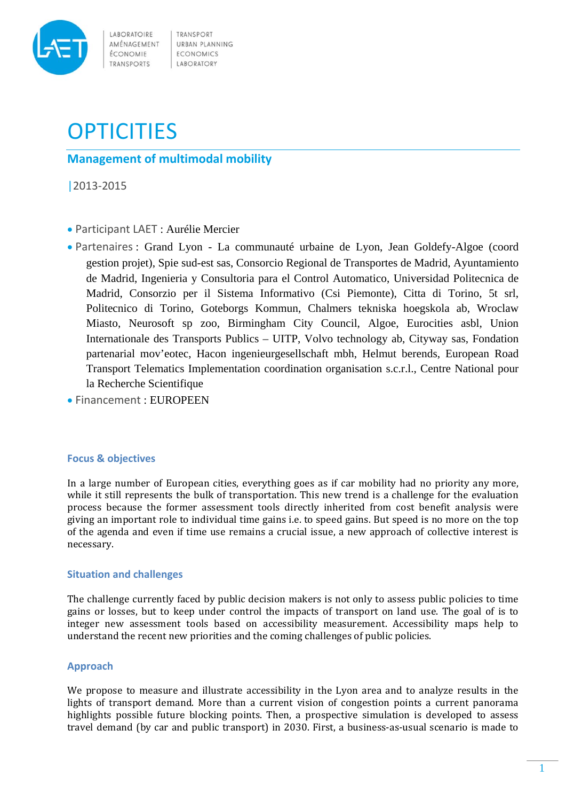

LABORATOIRE AMÉNAGEMENT ÉCONOMIE TRANSPORTS

TRANSPORT URBAN PLANNING **ECONOMICS** LABORATORY

# **OPTICITIES**

**Management of multimodal mobility**

|2013‐2015

- Participant LAET : Aurélie Mercier
- Partenaires : Grand Lyon La communauté urbaine de Lyon, Jean Goldefy-Algoe (coord gestion projet), Spie sud-est sas, Consorcio Regional de Transportes de Madrid, Ayuntamiento de Madrid, Ingenieria y Consultoria para el Control Automatico, Universidad Politecnica de Madrid, Consorzio per il Sistema Informativo (Csi Piemonte), Citta di Torino, 5t srl, Politecnico di Torino, Goteborgs Kommun, Chalmers tekniska hoegskola ab, Wroclaw Miasto, Neurosoft sp zoo, Birmingham City Council, Algoe, Eurocities asbl, Union Internationale des Transports Publics – UITP, Volvo technology ab, Cityway sas, Fondation partenarial mov'eotec, Hacon ingenieurgesellschaft mbh, Helmut berends, European Road Transport Telematics Implementation coordination organisation s.c.r.l., Centre National pour la Recherche Scientifique
- Financement : EUROPEEN

## **Focus & objectives**

In a large number of European cities, everything goes as if car mobility had no priority any more, while it still represents the bulk of transportation. This new trend is a challenge for the evaluation process because the former assessment tools directly inherited from cost benefit analysis were giving an important role to individual time gains i.e. to speed gains. But speed is no more on the top of the agenda and even if time use remains a crucial issue, a new approach of collective interest is necessary. 

## **Situation and challenges**

The challenge currently faced by public decision makers is not only to assess public policies to time gains or losses, but to keep under control the impacts of transport on land use. The goal of is to integer new assessment tools based on accessibility measurement. Accessibility maps help to understand the recent new priorities and the coming challenges of public policies.

## **Approach**

We propose to measure and illustrate accessibility in the Lyon area and to analyze results in the lights of transport demand. More than a current vision of congestion points a current panorama highlights possible future blocking points. Then, a prospective simulation is developed to assess travel demand (by car and public transport) in 2030. First, a business-as-usual scenario is made to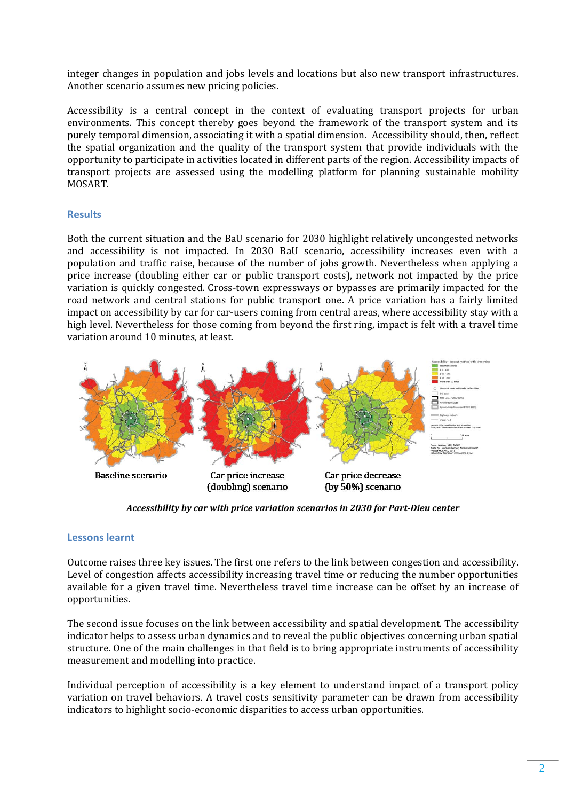integer changes in population and jobs levels and locations but also new transport infrastructures. Another scenario assumes new pricing policies.

Accessibility is a central concept in the context of evaluating transport projects for urban environments. This concept thereby goes beyond the framework of the transport system and its purely temporal dimension, associating it with a spatial dimension. Accessibility should, then, reflect the spatial organization and the quality of the transport system that provide individuals with the opportunity to participate in activities located in different parts of the region. Accessibility impacts of transport projects are assessed using the modelling platform for planning sustainable mobility MOSART. 

#### **Results**

Both the current situation and the BaU scenario for 2030 highlight relatively uncongested networks and accessibility is not impacted. In 2030 BaU scenario, accessibility increases even with a population and traffic raise, because of the number of jobs growth. Nevertheless when applying a price increase (doubling either car or public transport costs), network not impacted by the price variation is quickly congested. Cross-town expressways or bypasses are primarily impacted for the road network and central stations for public transport one. A price variation has a fairly limited impact on accessibility by car for car-users coming from central areas, where accessibility stay with a high level. Nevertheless for those coming from beyond the first ring, impact is felt with a travel time variation around 10 minutes, at least.



 *Accessibility by car with price variation scenarios in <sup>2030</sup> for Part‐Dieu center*

#### **Lessons learnt**

Outcome raises three key issues. The first one refers to the link between congestion and accessibility. Level of congestion affects accessibility increasing travel time or reducing the number opportunities available for a given travel time. Nevertheless travel time increase can be offset by an increase of opportunities. 

The second issue focuses on the link between accessibility and spatial development. The accessibility indicator helps to assess urban dynamics and to reveal the public objectives concerning urban spatial structure. One of the main challenges in that field is to bring appropriate instruments of accessibility measurement and modelling into practice.

Individual perception of accessibility is a key element to understand impact of a transport policy variation on travel behaviors. A travel costs sensitivity parameter can be drawn from accessibility indicators to highlight socio-economic disparities to access urban opportunities.